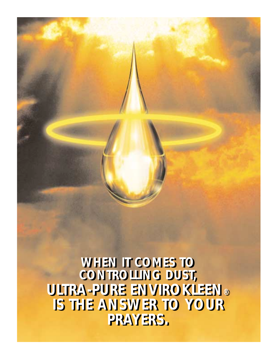**WHEN IT COMES TO CONTROLLING DUST, ULTRA-PURE ENVIROKLEEN® ULTRA-PURE ENVIROKLEEN® IS THE ANSWER TO YOUR IS THE ANSWER TO YOUR PRAYERS. PRAYERS.WHEN IT COMES TO CONTROLLING DUST,**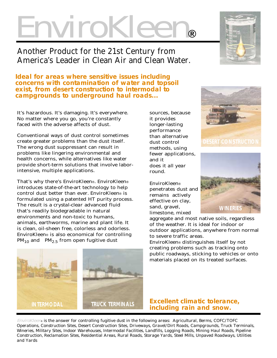# EnviroKleen**®**

## Another Product for the 21st Century from America's Leader in Clean Air and Clean Water.

*Ideal for areas where sensitive issues including concerns with contamination of water and topsoil exist, from desert construction to intermodal to campgrounds to underground haul roads...*

It's hazardous. It's damaging. It's everywhere. No matter where you go, you're constantly faced with the adverse affects of dust.

Conventional ways of dust control sometimes create greater problems than the dust itself. The wrong dust suppressant can result in problems like lingering environmental and health concerns, while alternatives like water provide short-term solutions that involve laborintensive, multiple applications.

That's why there's EnviroKleen®. EnviroKleen® introduces state-of-the-art technology to help control dust better than ever. EnviroKleen® is formulated using a patented HT purity process. The result is a *crystal-clear* advanced fluid that's readily biodegradable in natural environments and non-toxic to humans, animals, earthworms, marine and plant life. It is clean, oil-sheen free, colorless and odorless. EnviroKleen® is also economical for controlling  $PM_{10}$  and  $PM_{2.5}$  from open fugitive dust

sources, because it provides longer-lasting performance than alternative dust control methods, using fewer applications, and it does it *all year round*.

EnviroKleen® penetrates dust and remains actively effective on clay, sand, gravel, limestone, mixed



**DESERT CONSTRUCTION**



aggregate and most native soils, regardless of the weather. It is ideal for indoor or outdoor applications, anywhere from normal to severe traffic areas.

EnviroKleen® distinguishes itself by not creating problems such as tracking onto public roadways, sticking to vehicles or onto materials placed on its treated surfaces.



EnviroKleen® *is the answer for controlling fugitive dust in the following areas: Agricultural, Berms, COFC/TOFC Operations, Construction Sites, Desert Construction Sites, Driveways, Gravel/Dirt Roads, Campgrounds, Truck Terminals, Wineries, Military Sites, Indoor Warehouses, Intermodal Facilities, Landfills, Logging Roads, Mining Haul Roads, Pipeline Construction, Reclamation Sites, Residential Areas, Rural Roads, Storage Yards, Steel Mills, Unpaved Roadways, Utilities and Yards*



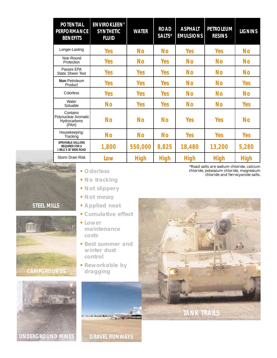| <b>POTENTIAL</b><br><b>PERFORMANCE</b><br><b>BENEFITS</b>                   | <b>ENVIROKLEEN®</b><br><b>SYNTHETIC</b><br><b>FLUID</b> | <b>WATER</b> | <b>ROAD</b><br>SALTS* | <b>ASPHALT</b><br><b>EMULSIONS</b> | <b>PETROLEUM</b><br><b>RESINS</b> | <b>LIGNINS</b> |
|-----------------------------------------------------------------------------|---------------------------------------------------------|--------------|-----------------------|------------------------------------|-----------------------------------|----------------|
| Longer-Lasting                                                              | <b>Yes</b>                                              | <b>No</b>    | <b>No</b>             | <b>Yes</b>                         | <b>Yes</b>                        | No             |
| Year-Round<br>Protection                                                    | Yes                                                     | <b>No</b>    | <b>Yes</b>            | <b>No</b>                          | <b>No</b>                         | No             |
| Passes EPA<br><b>Static Sheen Test</b>                                      | Yes                                                     | <b>Yes</b>   | <b>Yes</b>            | <b>No</b>                          | <b>No</b>                         | <b>No</b>      |
| Non-Petroleum<br>Product                                                    | <b>Yes</b>                                              | <b>Yes</b>   | <b>Yes</b>            | <b>No</b>                          | <b>No</b>                         | <b>Yes</b>     |
| Colorless                                                                   | Yes                                                     | <b>Yes</b>   | <b>Yes</b>            | <b>No</b>                          | No                                | No             |
| Water<br>Soluable                                                           | <b>No</b>                                               | <b>Yes</b>   | <b>Yes</b>            | <b>No</b>                          | No                                | <b>Yes</b>     |
| Contains<br>Polynuclear Aromatic<br>Hydrocarbons<br>(PAH)                   | <b>No</b>                                               | <b>No</b>    | <b>No</b>             | <b>Yes</b>                         | <b>Yes</b>                        | No             |
| Housekeeping:<br>Tracking                                                   | <b>No</b>                                               | <b>No</b>    | <b>No</b>             | <b>Yes</b>                         | <b>Yes</b>                        | <b>Yes</b>     |
| <b>SPRAYABLE GALLONS</b><br><b>REQUIRED FOR A</b><br>1 MILE X 30' WIDE ROAD | 1,800                                                   | 550,000      | 8,825                 | 18,480                             | 13,200                            | 5,280          |
| Storm Drain Risk                                                            | Low                                                     | <b>High</b>  | <b>High</b>           | <b>High</b>                        | <b>High</b>                       | <b>High</b>    |



- *•No tracking*
- *•Not slippery*
- *•Not messy*
- *•Applied neat*
- *•Cumulative effect*
- *•Lower maintenance costs*
- *•Best summer and winter dust control*
- *dragging*

**GRAVEL RUNWAYS**

*\*Road salts are sodium chloride, calcium chloride, potassium chloride, magnesium chloride and ferrocyanide salts. •Odorless*





**CAMPGROUNDS**

**STEEL MILLS**

**UNDERGROUND MINES**

- -
	-
- 
- -
	-
	- *•Reworkable by*